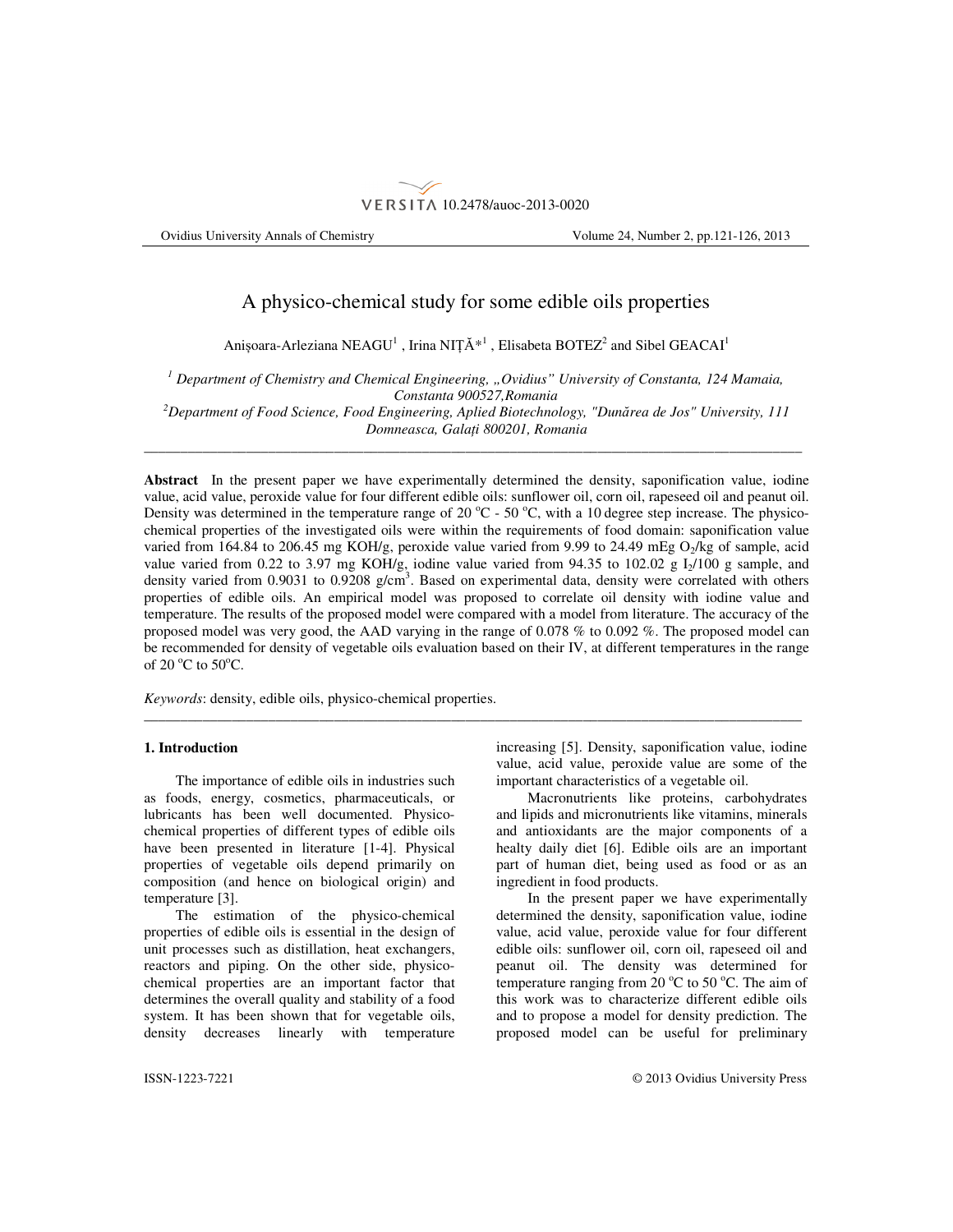

Ovidius University Annals of Chemistry Volume 24, Number 2, pp.121-126, 2013

# A physico-chemical study for some edible oils properties

Anișoara-Arleziana NEAGU<sup>1</sup> , Irina NIȚĂ<sup>\*1</sup> , Elisabeta BOTEZ<sup>2</sup> and Sibel GEACAI<sup>1</sup>

<sup>1</sup> Department of Chemistry and Chemical Engineering, "Ovidius" University of Constanta, 124 Mamaia, *Constanta 900527,Romania* 

*<sup>2</sup>Department of Food Science, Food Engineering, Aplied Biotechnology, "Dun*ă*rea de Jos" University, 111 Domneasca, Gala*ț*i 800201, Romania*  \_\_\_\_\_\_\_\_\_\_\_\_\_\_\_\_\_\_\_\_\_\_\_\_\_\_\_\_\_\_\_\_\_\_\_\_\_\_\_\_\_\_\_\_\_\_\_\_\_\_\_\_\_\_\_\_\_\_\_\_\_\_\_\_\_\_\_\_\_\_\_\_\_\_\_\_\_\_\_\_\_\_\_\_\_\_\_\_\_\_

**Abstract** In the present paper we have experimentally determined the density, saponification value, iodine value, acid value, peroxide value for four different edible oils: sunflower oil, corn oil, rapeseed oil and peanut oil. Density was determined in the temperature range of 20  $^{\circ}$ C - 50  $^{\circ}$ C, with a 10 degree step increase. The physicochemical properties of the investigated oils were within the requirements of food domain: saponification value varied from 164.84 to 206.45 mg KOH/g, peroxide value varied from 9.99 to 24.49 mEg  $O_2$ /kg of sample, acid value varied from 0.22 to 3.97 mg KOH/g, iodine value varied from 94.35 to 102.02 g  $I_2/100$  g sample, and density varied from 0.9031 to 0.9208 g/cm<sup>3</sup>. Based on experimental data, density were correlated with others properties of edible oils. An empirical model was proposed to correlate oil density with iodine value and temperature. The results of the proposed model were compared with a model from literature. The accuracy of the proposed model was very good, the AAD varying in the range of 0.078 % to 0.092 %. The proposed model can be recommended for density of vegetable oils evaluation based on their IV, at different temperatures in the range of 20 $\rm{^oC}$  to 50 $\rm{^oC}$ .

\_\_\_\_\_\_\_\_\_\_\_\_\_\_\_\_\_\_\_\_\_\_\_\_\_\_\_\_\_\_\_\_\_\_\_\_\_\_\_\_\_\_\_\_\_\_\_\_\_\_\_\_\_\_\_\_\_\_\_\_\_\_\_\_\_\_\_\_\_\_\_\_\_\_\_\_\_\_\_\_\_\_\_\_\_\_\_\_\_\_

*Keywords*: density, edible oils, physico-chemical properties.

### **1. Introduction**

The importance of edible oils in industries such as foods, energy, cosmetics, pharmaceuticals, or lubricants has been well documented. Physicochemical properties of different types of edible oils have been presented in literature [1-4]. Physical properties of vegetable oils depend primarily on composition (and hence on biological origin) and temperature [3].

The estimation of the physico-chemical properties of edible oils is essential in the design of unit processes such as distillation, heat exchangers, reactors and piping. On the other side, physicochemical properties are an important factor that determines the overall quality and stability of a food system. It has been shown that for vegetable oils, density decreases linearly with temperature increasing [5]. Density, saponification value, iodine value, acid value, peroxide value are some of the important characteristics of a vegetable oil.

Macronutrients like proteins, carbohydrates and lipids and micronutrients like vitamins, minerals and antioxidants are the major components of a healty daily diet [6]. Edible oils are an important part of human diet, being used as food or as an ingredient in food products.

In the present paper we have experimentally determined the density, saponification value, iodine value, acid value, peroxide value for four different edible oils: sunflower oil, corn oil, rapeseed oil and peanut oil. The density was determined for temperature ranging from 20  $^{\circ}$ C to 50  $^{\circ}$ C. The aim of this work was to characterize different edible oils and to propose a model for density prediction. The proposed model can be useful for preliminary

ISSN-1223-7221 © 2013 Ovidius University Press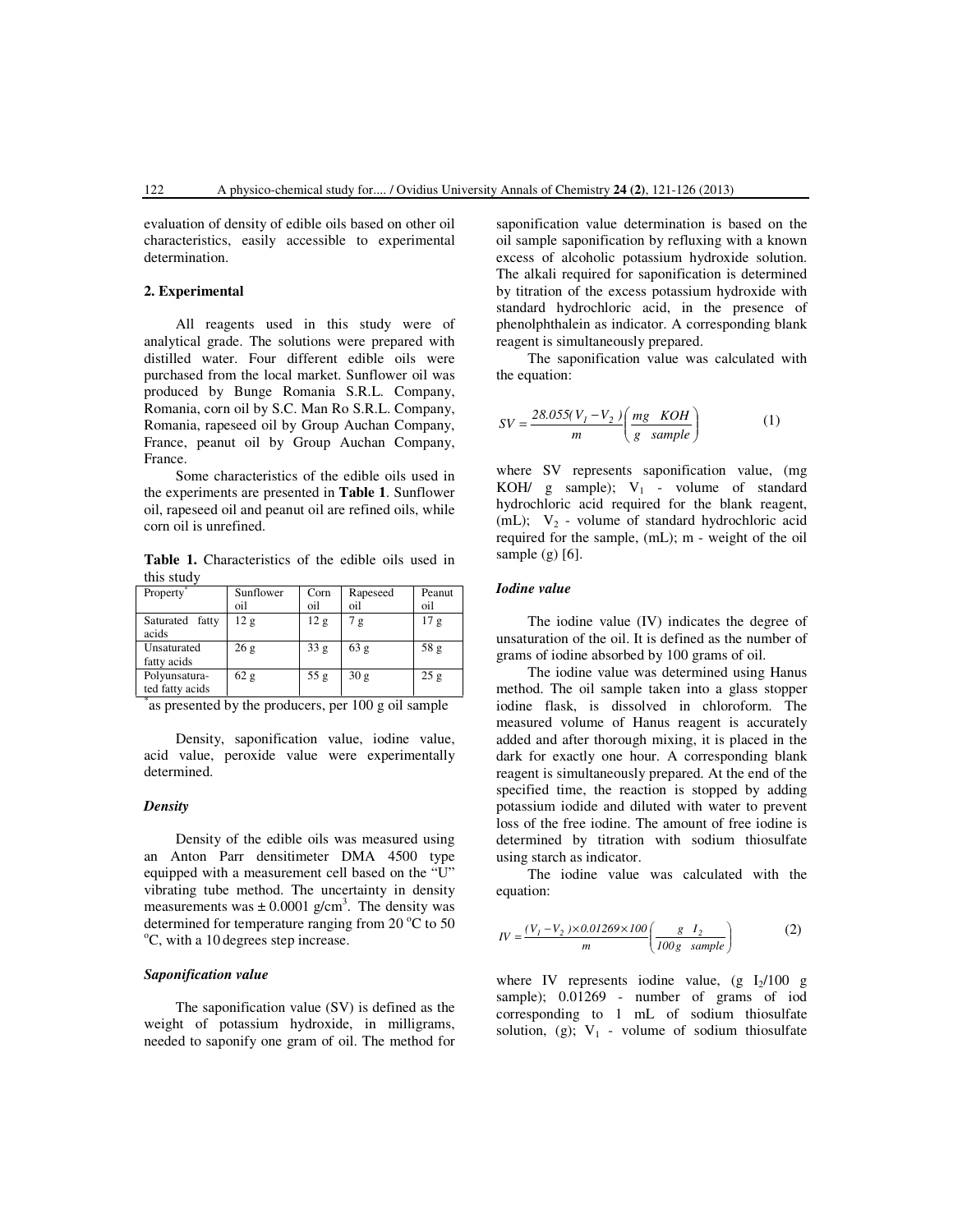evaluation of density of edible oils based on other oil characteristics, easily accessible to experimental determination.

# **2. Experimental**

All reagents used in this study were of analytical grade. The solutions were prepared with distilled water. Four different edible oils were purchased from the local market. Sunflower oil was produced by Bunge Romania S.R.L. Company, Romania, corn oil by S.C. Man Ro S.R.L. Company, Romania, rapeseed oil by Group Auchan Company, France, peanut oil by Group Auchan Company, France.

Some characteristics of the edible oils used in the experiments are presented in **Table 1**. Sunflower oil, rapeseed oil and peanut oil are refined oils, while corn oil is unrefined.

**Table 1.** Characteristics of the edible oils used in this study

| Property                    | Sunflower | Corn | Rapeseed | Peanut          |
|-----------------------------|-----------|------|----------|-----------------|
|                             | oil       | oil  | oil      | oi1             |
| Saturated<br>fatty<br>acids | 12g       | 12 g | 7g       | 17 <sub>g</sub> |
| Unsaturated                 | 26g       | 33 g | 63 g     | 58g             |
| fatty acids                 |           |      |          |                 |
| Polyunsatura-               | 62 g      | 55 g | 30g      | 25g             |
| ted fatty acids             |           |      |          |                 |

\* as presented by the producers, per 100 g oil sample

Density, saponification value, iodine value, acid value, peroxide value were experimentally determined.

# *Density*

Density of the edible oils was measured using an Anton Parr densitimeter DMA 4500 type equipped with a measurement cell based on the "U" vibrating tube method. The uncertainty in density measurements was  $\pm 0.0001$  g/cm<sup>3</sup>. The density was determined for temperature ranging from  $20^{\circ}$ C to 50  $\rm{^{\circ}C}$ , with a 10 degrees step increase.

### *Saponification value*

The saponification value (SV) is defined as the weight of potassium hydroxide, in milligrams, needed to saponify one gram of oil. The method for

saponification value determination is based on the oil sample saponification by refluxing with a known excess of alcoholic potassium hydroxide solution. The alkali required for saponification is determined by titration of the excess potassium hydroxide with standard hydrochloric acid, in the presence of phenolphthalein as indicator. A corresponding blank reagent is simultaneously prepared.

The saponification value was calculated with the equation:

$$
SV = \frac{28.055(V_1 - V_2)}{m} \left(\frac{mg \quad KOH}{g \quad sample}\right) \tag{1}
$$

where SV represents saponification value, (mg KOH/ g sample);  $V_1$  - volume of standard hydrochloric acid required for the blank reagent,  $(mL)$ ;  $V_2$  - volume of standard hydrochloric acid required for the sample, (mL); m - weight of the oil sample  $(g)$  [6].

#### *Iodine value*

The iodine value (IV) indicates the degree of unsaturation of the oil. It is defined as the number of grams of iodine absorbed by 100 grams of oil.

The iodine value was determined using Hanus method. The oil sample taken into a glass stopper iodine flask, is dissolved in chloroform. The measured volume of Hanus reagent is accurately added and after thorough mixing, it is placed in the dark for exactly one hour. A corresponding blank reagent is simultaneously prepared. At the end of the specified time, the reaction is stopped by adding potassium iodide and diluted with water to prevent loss of the free iodine. The amount of free iodine is determined by titration with sodium thiosulfate using starch as indicator.

The iodine value was calculated with the equation:

$$
IV = \frac{(V_1 - V_2) \times 0.01269 \times 100}{m} \left( \frac{g}{100g} \frac{I_2}{sample} \right)
$$
 (2)

where IV represents iodine value,  $(g I<sub>2</sub>/100 g)$ sample);  $0.01269$  - number of grams of iod corresponding to 1 mL of sodium thiosulfate solution, (g);  $V_1$  - volume of sodium thiosulfate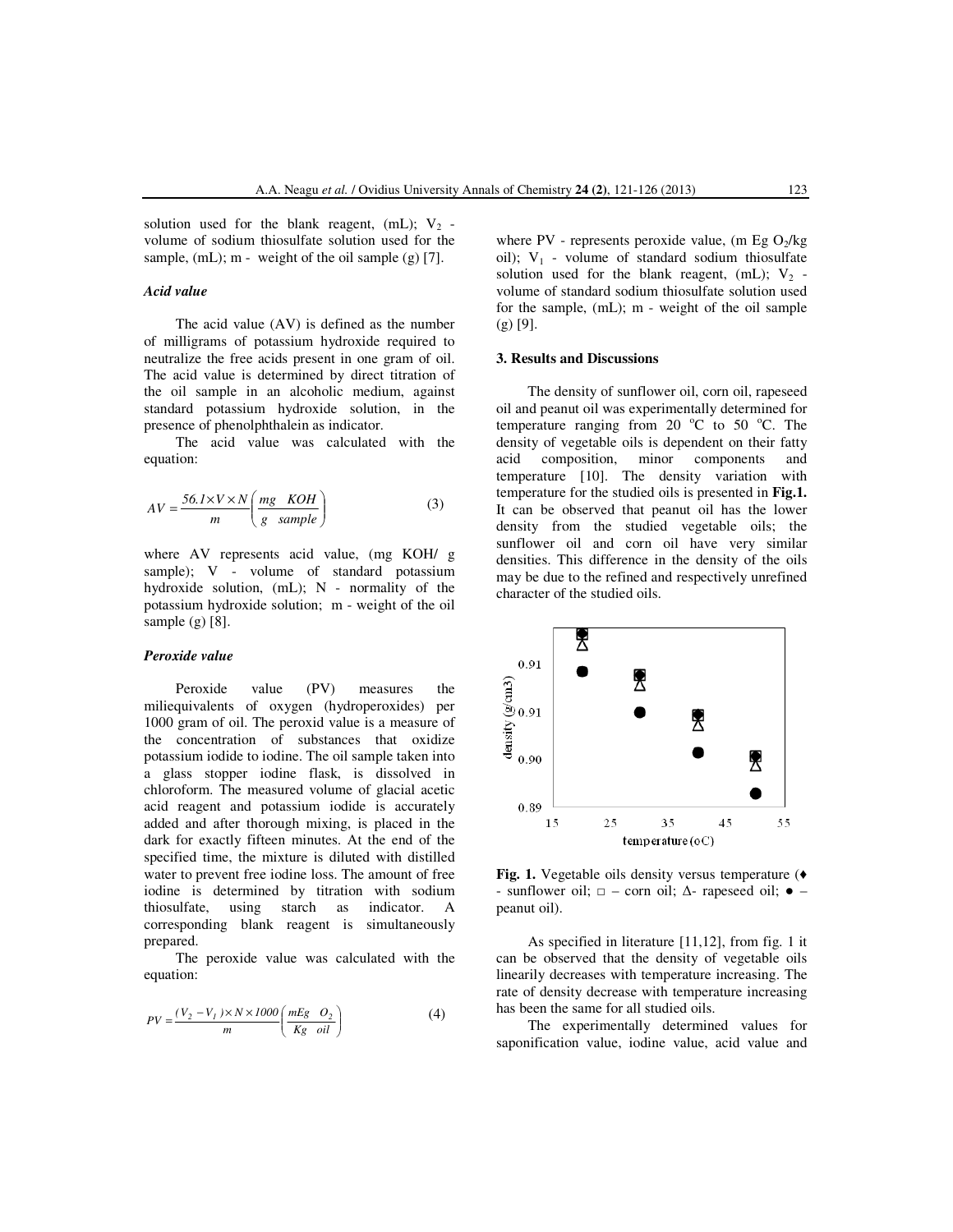solution used for the blank reagent, (mL);  $V_2$  volume of sodium thiosulfate solution used for the sample, (mL); m - weight of the oil sample (g) [7].

# *Acid value*

The acid value (AV) is defined as the number of milligrams of potassium hydroxide required to neutralize the free acids present in one gram of oil. The acid value is determined by direct titration of the oil sample in an alcoholic medium, against standard potassium hydroxide solution, in the presence of phenolphthalein as indicator.

The acid value was calculated with the equation:

$$
AV = \frac{56.1 \times V \times N}{m} \left(\frac{mg \quad KOH}{g \quad sample}\right) \tag{3}
$$

where AV represents acid value, (mg KOH/ g sample); V - volume of standard potassium hydroxide solution, (mL); N - normality of the potassium hydroxide solution; m - weight of the oil sample (g) [8].

#### *Peroxide value*

Peroxide value (PV) measures the miliequivalents of oxygen (hydroperoxides) per 1000 gram of oil. The peroxid value is a measure of the concentration of substances that oxidize potassium iodide to iodine. The oil sample taken into a glass stopper iodine flask, is dissolved in chloroform. The measured volume of glacial acetic acid reagent and potassium iodide is accurately added and after thorough mixing, is placed in the dark for exactly fifteen minutes. At the end of the specified time, the mixture is diluted with distilled water to prevent free iodine loss. The amount of free iodine is determined by titration with sodium thiosulfate, using starch as indicator. A corresponding blank reagent is simultaneously prepared.

The peroxide value was calculated with the equation:

$$
PV = \frac{(V_2 - V_1) \times N \times 1000}{m} \left( \frac{mEg}{Kg} \frac{O_2}{oil} \right)
$$
 (4)

where PV - represents peroxide value, (m Eg  $O_2/kg$ oil);  $V_1$  - volume of standard sodium thiosulfate solution used for the blank reagent, (mL);  $V_2$  volume of standard sodium thiosulfate solution used for the sample, (mL); m - weight of the oil sample  $(g)$  [9].

# **3. Results and Discussions**

The density of sunflower oil, corn oil, rapeseed oil and peanut oil was experimentally determined for temperature ranging from 20  $^{\circ}$ C to 50  $^{\circ}$ C. The density of vegetable oils is dependent on their fatty acid composition, minor components and temperature [10]. The density variation with temperature for the studied oils is presented in **Fig.1.** It can be observed that peanut oil has the lower density from the studied vegetable oils; the sunflower oil and corn oil have very similar densities. This difference in the density of the oils may be due to the refined and respectively unrefined character of the studied oils.



**Fig. 1.** Vegetable oils density versus temperature (♦ - sunflower oil;  $□$  – corn oil; Δ- rapeseed oil;  $\bullet$  – peanut oil).

As specified in literature [11,12], from fig. 1 it can be observed that the density of vegetable oils linearily decreases with temperature increasing. The rate of density decrease with temperature increasing has been the same for all studied oils.

The experimentally determined values for saponification value, iodine value, acid value and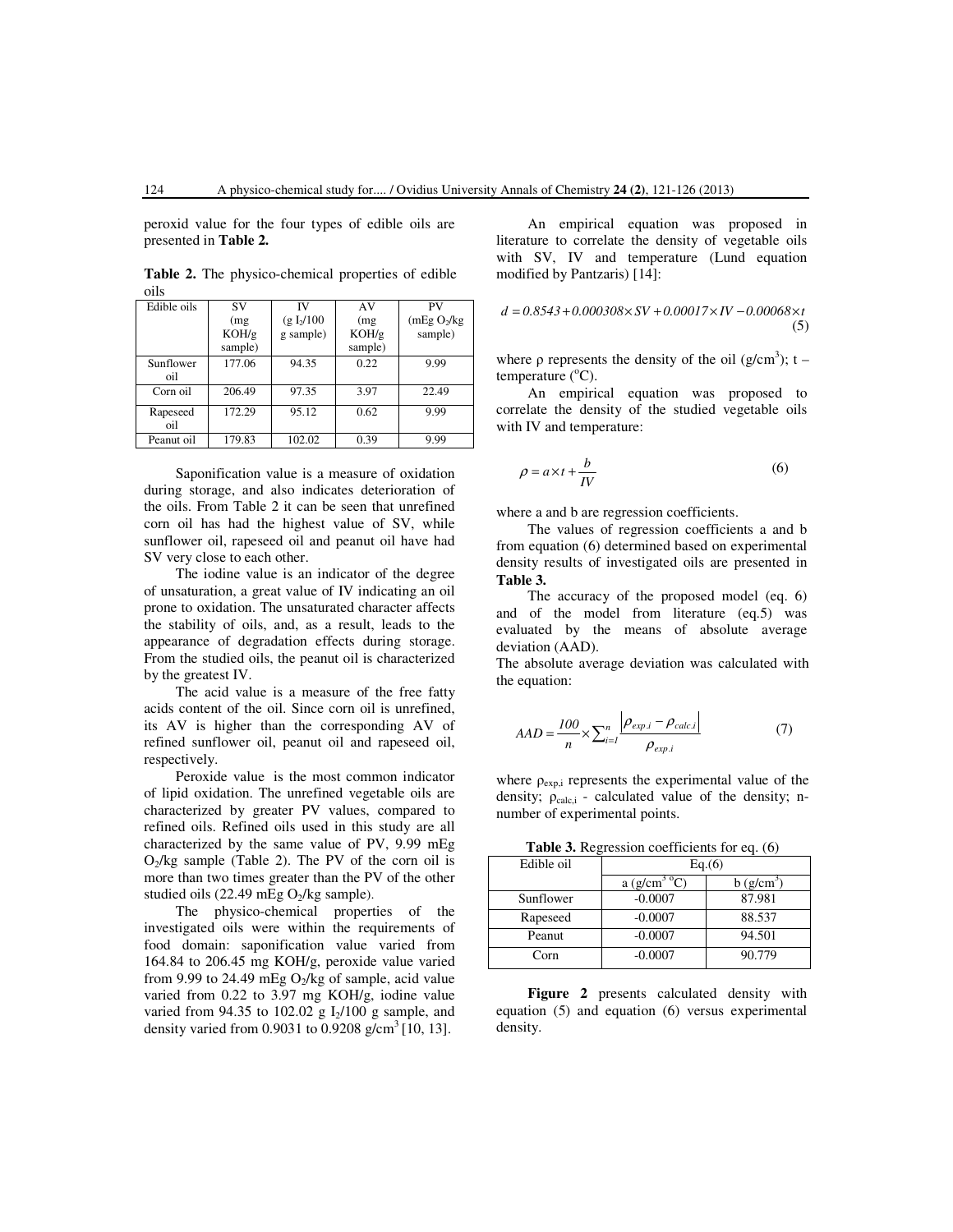peroxid value for the four types of edible oils are presented in **Table 2.**

**Table 2.** The physico-chemical properties of edible oils

| (mEg O <sub>2</sub> /kg) |
|--------------------------|
| sample)                  |
|                          |
| 9.99                     |
|                          |
| 22.49                    |
| 9.99                     |
|                          |
| 9.99                     |
|                          |

Saponification value is a measure of oxidation during storage, and also indicates deterioration of the oils. From Table 2 it can be seen that unrefined corn oil has had the highest value of SV, while sunflower oil, rapeseed oil and peanut oil have had SV very close to each other.

The iodine value is an indicator of the degree of unsaturation, a great value of IV indicating an oil prone to oxidation. The unsaturated character affects the stability of oils, and, as a result, leads to the appearance of degradation effects during storage. From the studied oils, the peanut oil is characterized by the greatest IV.

The acid value is a measure of the free fatty acids content of the oil. Since corn oil is unrefined, its AV is higher than the corresponding AV of refined sunflower oil, peanut oil and rapeseed oil, respectively.

Peroxide value is the most common indicator of lipid oxidation. The unrefined vegetable oils are characterized by greater PV values, compared to refined oils. Refined oils used in this study are all characterized by the same value of PV, 9.99 mEg  $O_2$ /kg sample (Table 2). The PV of the corn oil is more than two times greater than the PV of the other studied oils (22.49 mEg  $O_2$ /kg sample).

The physico-chemical properties of the investigated oils were within the requirements of food domain: saponification value varied from 164.84 to 206.45 mg KOH/g, peroxide value varied from 9.99 to 24.49 mEg  $O_2$ /kg of sample, acid value varied from 0.22 to 3.97 mg KOH/g, iodine value varied from 94.35 to 102.02  $g I_2/100 g$  sample, and density varied from 0.9031 to 0.9208 g/cm<sup>3</sup> [10, 13].

An empirical equation was proposed in literature to correlate the density of vegetable oils with SV, IV and temperature (Lund equation modified by Pantzaris) [14]:

$$
d = 0.8543 + 0.000308 \times SV + 0.00017 \times IV - 0.00068 \times t
$$
\n(5)

where  $\rho$  represents the density of the oil ( $g/cm<sup>3</sup>$ ); t – temperature  $(^{\circ}C)$ .

An empirical equation was proposed to correlate the density of the studied vegetable oils with IV and temperature:

$$
\rho = a \times t + \frac{b}{IV} \tag{6}
$$

where a and b are regression coefficients.

The values of regression coefficients a and b from equation (6) determined based on experimental density results of investigated oils are presented in **Table 3.**

The accuracy of the proposed model (eq. 6) and of the model from literature (eq.5) was evaluated by the means of absolute average deviation (AAD).

The absolute average deviation was calculated with the equation:

$$
AAD = \frac{100}{n} \times \sum_{i=1}^{n} \frac{\left| \rho_{exp,i} - \rho_{calc,i} \right|}{\rho_{exp,i}}
$$
(7)

where  $\rho_{\text{exn,i}}$  represents the experimental value of the density;  $\rho_{calc,i}$  - calculated value of the density; nnumber of experimental points.

**Table 3.** Regression coefficients for eq. (6)

| Edible oil | Eq.(6)                                 |                        |  |
|------------|----------------------------------------|------------------------|--|
|            | a $(g/cm^3 \, {}^{\circ}\overline{C})$ | $b$ (g/cm <sup>3</sup> |  |
| Sunflower  | $-0.0007$                              | 87.981                 |  |
| Rapeseed   | $-0.0007$                              | 88.537                 |  |
| Peanut     | $-0.0007$                              | 94.501                 |  |
| Corn       | $-0.0007$                              | 90.779                 |  |

**Figure 2** presents calculated density with equation (5) and equation (6) versus experimental density.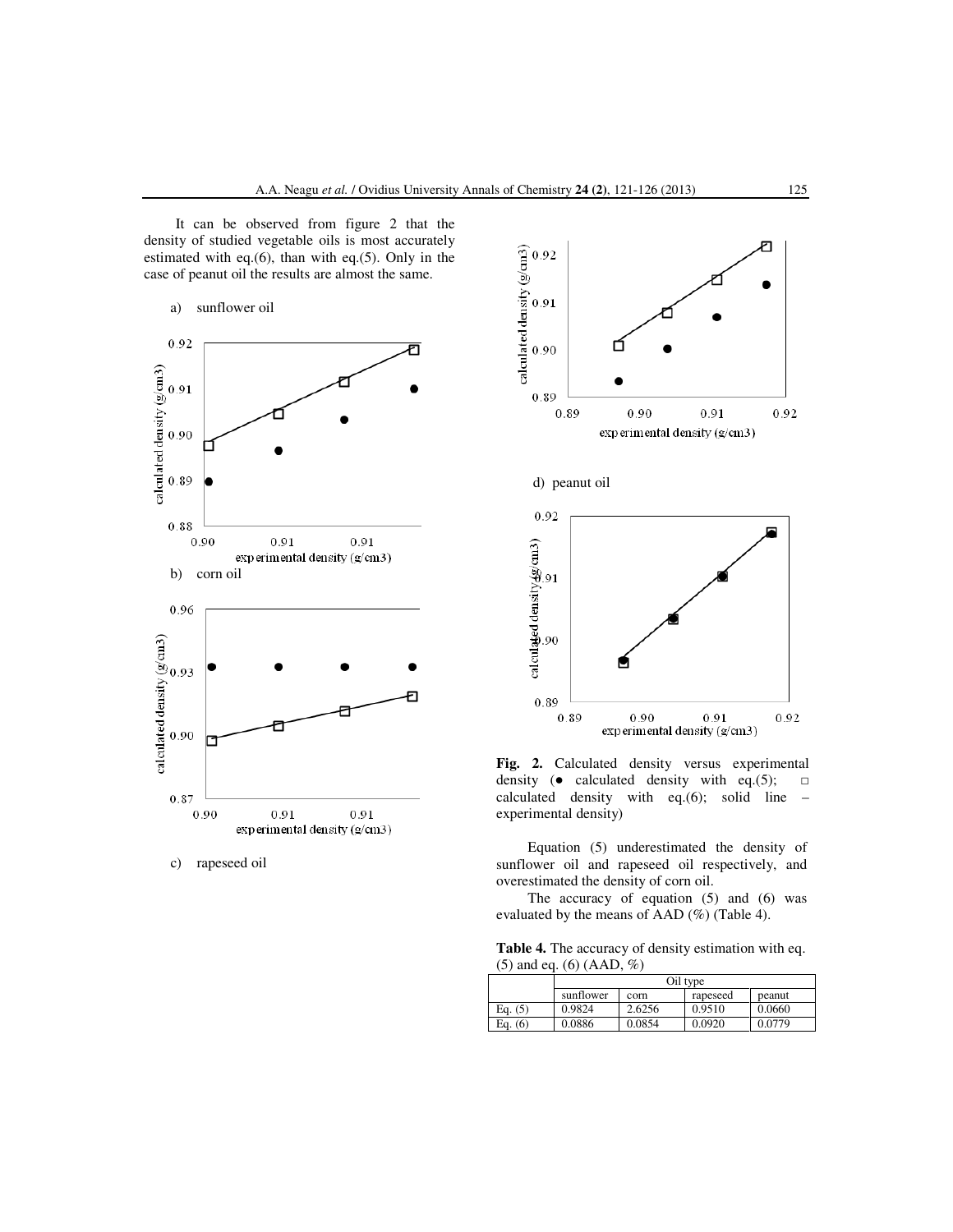It can be observed from figure 2 that the density of studied vegetable oils is most accurately estimated with eq.(6), than with eq.(5). Only in the case of peanut oil the results are almost the same.

### a) sunflower oil



c) rapeseed oil



**Fig. 2.** Calculated density versus experimental density ( $\bullet$  calculated density with eq.(5);  $\Box$ calculated density with eq.(6); solid line – experimental density)

Equation (5) underestimated the density of sunflower oil and rapeseed oil respectively, and overestimated the density of corn oil.

The accuracy of equation (5) and (6) was evaluated by the means of AAD (%) (Table 4).

**Table 4.** The accuracy of density estimation with eq. (5) and eq. (6) (AAD, %)

|           | Oil type  |        |          |        |  |
|-----------|-----------|--------|----------|--------|--|
|           | sunflower | corn   | rapeseed | peanut |  |
| Eq. $(5)$ | 0.9824    | 2.6256 | 0.9510   | 0.0660 |  |
| Ea. (6)   | 0.0886    | 0.0854 | 0.0920   | 0.0779 |  |